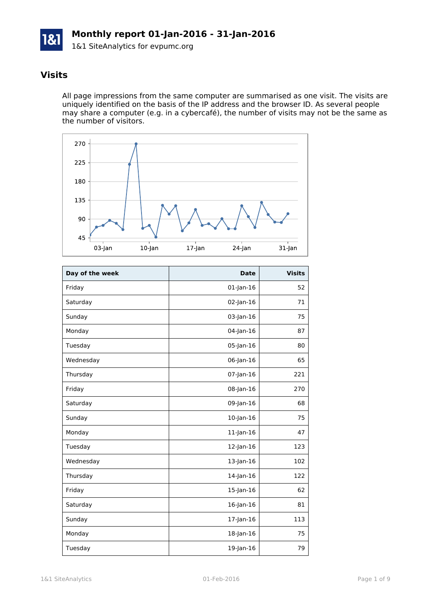

### **Visits**

All page impressions from the same computer are summarised as one visit. The visits are uniquely identified on the basis of the IP address and the browser ID. As several people may share a computer (e.g. in a cybercafé), the number of visits may not be the same as the number of visitors.



| Day of the week | <b>Date</b>     | <b>Visits</b> |
|-----------------|-----------------|---------------|
| Friday          | $01$ -Jan-16    | 52            |
| Saturday        | 02-Jan-16       | 71            |
| Sunday          | 03-Jan-16       | 75            |
| Monday          | 04-Jan-16       | 87            |
| Tuesday         | 05-Jan-16       | 80            |
| Wednesday       | 06-Jan-16       | 65            |
| Thursday        | $07$ -Jan-16    | 221           |
| Friday          | 08-Jan-16       | 270           |
| Saturday        | 09-Jan-16       | 68            |
| Sunday          | $10$ -Jan- $16$ | 75            |
| Monday          | $11$ -Jan- $16$ | 47            |
| Tuesday         | $12$ -Jan- $16$ | 123           |
| Wednesday       | 13-Jan-16       | 102           |
| Thursday        | $14$ -Jan- $16$ | 122           |
| Friday          | 15-Jan-16       | 62            |
| Saturday        | $16$ -Jan- $16$ | 81            |
| Sunday          | 17-Jan-16       | 113           |
| Monday          | 18-Jan-16       | 75            |
| Tuesday         | 19-Jan-16       | 79            |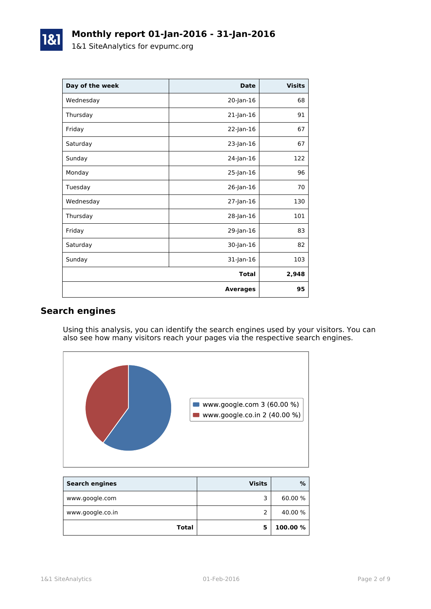| Day of the week | <b>Date</b>     | <b>Visits</b> |
|-----------------|-----------------|---------------|
| Wednesday       | 20-Jan-16       | 68            |
| Thursday        | $21$ -Jan-16    | 91            |
| Friday          | 22-Jan-16       | 67            |
| Saturday        | 23-Jan-16       | 67            |
| Sunday          | 24-Jan-16       | 122           |
| Monday          | 25-Jan-16       | 96            |
| Tuesday         | 26-Jan-16       | 70            |
| Wednesday       | 27-Jan-16       | 130           |
| Thursday        | 28-Jan-16       | 101           |
| Friday          | 29-Jan-16       | 83            |
| Saturday        | 30-Jan-16       | 82            |
| Sunday          | 31-Jan-16       | 103           |
|                 | <b>Total</b>    | 2,948         |
|                 | <b>Averages</b> | 95            |

# **Search engines**

Using this analysis, you can identify the search engines used by your visitors. You can also see how many visitors reach your pages via the respective search engines.



| <b>Search engines</b> | <b>Visits</b> | %        |
|-----------------------|---------------|----------|
| www.google.com        | ∍             | 60.00 %  |
| www.google.co.in      |               | 40.00 %  |
| Total                 |               | 100.00 % |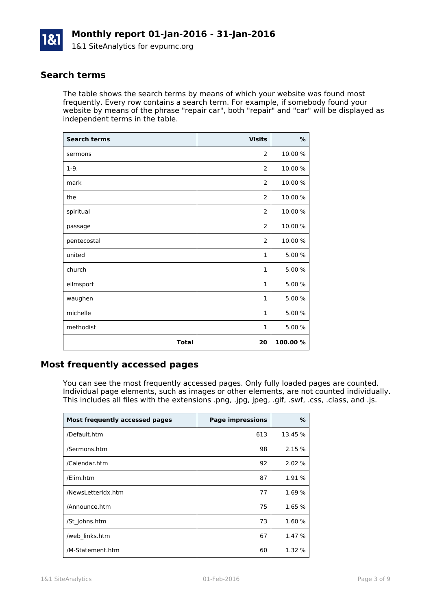

#### **Search terms**

The table shows the search terms by means of which your website was found most frequently. Every row contains a search term. For example, if somebody found your website by means of the phrase "repair car", both "repair" and "car" will be displayed as independent terms in the table.

| <b>Search terms</b> | <b>Visits</b>  | $\%$     |
|---------------------|----------------|----------|
| sermons             | 2              | 10.00 %  |
| $1-9.$              | 2              | 10.00 %  |
| mark                | $\overline{2}$ | 10.00 %  |
| the                 | 2              | 10.00 %  |
| spiritual           | $\overline{2}$ | 10.00 %  |
| passage             | 2              | 10.00 %  |
| pentecostal         | $\overline{2}$ | 10.00 %  |
| united              | $\mathbf{1}$   | 5.00 %   |
| church              | $\mathbf{1}$   | 5.00 %   |
| eilmsport           | $\mathbf{1}$   | 5.00 %   |
| waughen             | $\mathbf{1}$   | 5.00 %   |
| michelle            | $\mathbf{1}$   | 5.00 %   |
| methodist           | $\mathbf{1}$   | 5.00 %   |
| <b>Total</b>        | 20             | 100.00 % |

## **Most frequently accessed pages**

You can see the most frequently accessed pages. Only fully loaded pages are counted. Individual page elements, such as images or other elements, are not counted individually. This includes all files with the extensions .png, .jpg, jpeg, .gif, .swf, .css, .class, and .js.

| Most frequently accessed pages | <b>Page impressions</b> | %       |
|--------------------------------|-------------------------|---------|
| /Default.htm                   | 613                     | 13.45 % |
| /Sermons.htm                   | 98                      | 2.15 %  |
| /Calendar.htm                  | 92                      | 2.02 %  |
| /Elim.htm                      | 87                      | 1.91 %  |
| /NewsLetterIdx.htm             | 77                      | 1.69 %  |
| /Announce.htm                  | 75                      | 1.65 %  |
| /St Johns.htm                  | 73                      | 1.60 %  |
| /web links.htm                 | 67                      | 1.47 %  |
| /M-Statement.htm               | 60                      | 1.32 %  |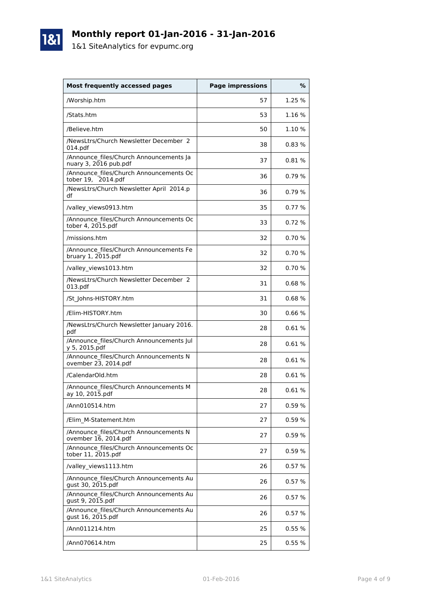

# **Monthly report 01-Jan-2016 - 31-Jan-2016**

1&1 SiteAnalytics for evpumc.org

| Most frequently accessed pages                                     | <b>Page impressions</b> | %      |
|--------------------------------------------------------------------|-------------------------|--------|
| /Worship.htm                                                       | 57                      | 1.25 % |
| /Stats.htm                                                         | 53                      | 1.16 % |
| /Believe.htm                                                       | 50                      | 1.10 % |
| /NewsLtrs/Church Newsletter December 2<br>014.pdf                  | 38                      | 0.83%  |
| /Announce files/Church Announcements Ja<br>nuary 3, $2016$ pub.pdf | 37                      | 0.81%  |
| /Announce files/Church Announcements Oc<br>tober 19, 2014.pdf      | 36                      | 0.79%  |
| /NewsLtrs/Church Newsletter April 2014.p<br>df                     | 36                      | 0.79%  |
| /valley_views0913.htm                                              | 35                      | 0.77%  |
| /Announce files/Church Announcements Oc<br>tober 4, 2015.pdf       | 33                      | 0.72%  |
| /missions.htm                                                      | 32                      | 0.70%  |
| /Announce files/Church Announcements Fe<br>bruary 1, 2015.pdf      | 32                      | 0.70%  |
| /valley views1013.htm                                              | 32                      | 0.70%  |
| /NewsLtrs/Church Newsletter December 2<br>013.pdf                  | 31                      | 0.68%  |
| /St Johns-HISTORY.htm                                              | 31                      | 0.68%  |
| /Elim-HISTORY.htm                                                  | 30                      | 0.66%  |
| /NewsLtrs/Church Newsletter January 2016.<br>pdf                   | 28                      | 0.61%  |
| /Announce files/Church Announcements Jul<br>y 5, 2015.pdf          | 28                      | 0.61%  |
| /Announce_files/Church Announcements N<br>ovember 23, 2014.pdf     | 28                      | 0.61%  |
| /CalendarOld.htm                                                   | 28                      | 0.61%  |
| /Announce files/Church Announcements M<br>ay 10, 2015.pdf          | 28                      | 0.61%  |
| /Ann010514.htm                                                     | 27                      | 0.59 % |
| /Elim M-Statement.htm                                              | 27                      | 0.59%  |
| /Announce files/Church Announcements N<br>ovember 16, 2014.pdf     | 27                      | 0.59%  |
| /Announce files/Church Announcements Oc<br>tober 11, 2015.pdf      | 27                      | 0.59%  |
| /valley views1113.htm                                              | 26                      | 0.57%  |
| /Announce files/Church Announcements Au<br>gust 30, 2015.pdf       | 26                      | 0.57%  |
| /Announce files/Church Announcements Au<br>gust 9, 2015.pdf        | 26                      | 0.57%  |
| /Announce files/Church Announcements Au<br>gust 16, 2015.pdf       | 26                      | 0.57%  |
| /Ann011214.htm                                                     | 25                      | 0.55%  |
| /Ann070614.htm                                                     | 25                      | 0.55%  |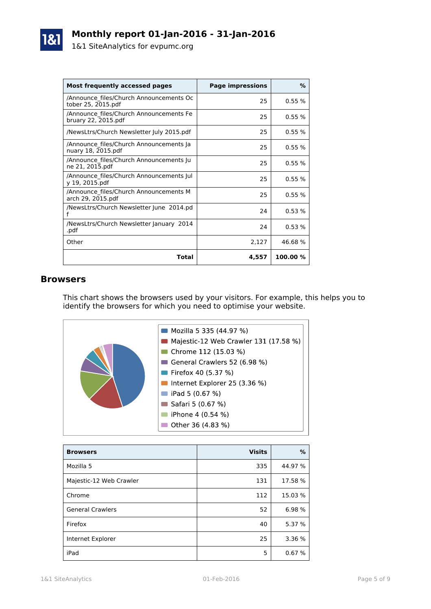| Most frequently accessed pages                                 | <b>Page impressions</b> | %        |
|----------------------------------------------------------------|-------------------------|----------|
| /Announce files/Church Announcements Oc<br>tober 25, 2015.pdf  | 25                      | 0.55%    |
| /Announce files/Church Announcements Fe<br>bruary 22, 2015.pdf | 25                      | 0.55%    |
| /NewsLtrs/Church Newsletter July 2015.pdf                      | 25                      | 0.55%    |
| /Announce files/Church Announcements Ja<br>nuary 18, 2015.pdf  | 25                      | 0.55%    |
| /Announce files/Church Announcements Ju<br>ne 21, 2015.pdf     | 25                      | 0.55%    |
| /Announce_files/Church Announcements Jul<br>v 19, 2015.pdf     | 25                      | 0.55%    |
| /Announce files/Church Announcements M<br>arch 29, 2015.pdf    | 25                      | 0.55%    |
| /NewsLtrs/Church Newsletter June 2014.pd<br>f                  | 24                      | 0.53%    |
| /NewsLtrs/Church Newsletter January 2014<br>.pdf               | 24                      | 0.53%    |
| Other                                                          | 2,127                   | 46.68%   |
| Total                                                          | 4,557                   | 100.00 % |

#### **Browsers**

This chart shows the browsers used by your visitors. For example, this helps you to identify the browsers for which you need to optimise your website.



| <b>Browsers</b>         | <b>Visits</b> | %       |
|-------------------------|---------------|---------|
| Mozilla 5               | 335           | 44.97 % |
| Majestic-12 Web Crawler | 131           | 17.58 % |
| Chrome                  | 112           | 15.03 % |
| <b>General Crawlers</b> | 52            | 6.98 %  |
| Firefox                 | 40            | 5.37 %  |
| Internet Explorer       | 25            | 3.36 %  |
| iPad                    | 5             | 0.67%   |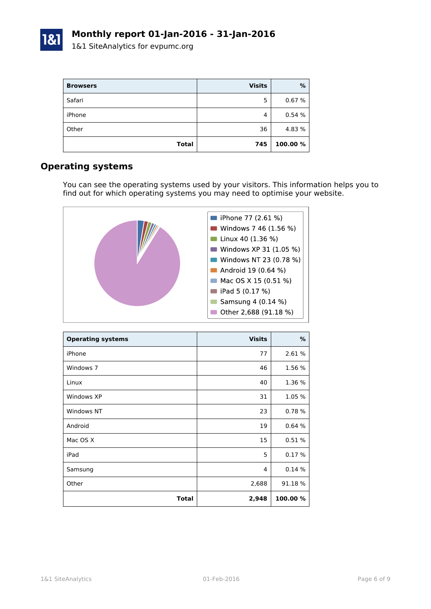| <b>Browsers</b> | <b>Visits</b> | %        |
|-----------------|---------------|----------|
| Safari          | 5             | 0.67%    |
| iPhone          | 4             | 0.54%    |
| Other           | 36            | 4.83 %   |
| <b>Total</b>    | 745           | 100.00 % |

#### **Operating systems**

You can see the operating systems used by your visitors. This information helps you to find out for which operating systems you may need to optimise your website.



| <b>Operating systems</b> | <b>Visits</b> | $\%$     |
|--------------------------|---------------|----------|
| iPhone                   | 77            | 2.61 %   |
| Windows 7                | 46            | 1.56 %   |
| Linux                    | 40            | 1.36 %   |
| Windows XP               | 31            | 1.05 %   |
| Windows NT               | 23            | 0.78%    |
| Android                  | 19            | 0.64%    |
| Mac OS X                 | 15            | 0.51%    |
| iPad                     | 5             | 0.17%    |
| Samsung                  | 4             | 0.14%    |
| Other                    | 2,688         | 91.18 %  |
| <b>Total</b>             | 2,948         | 100.00 % |

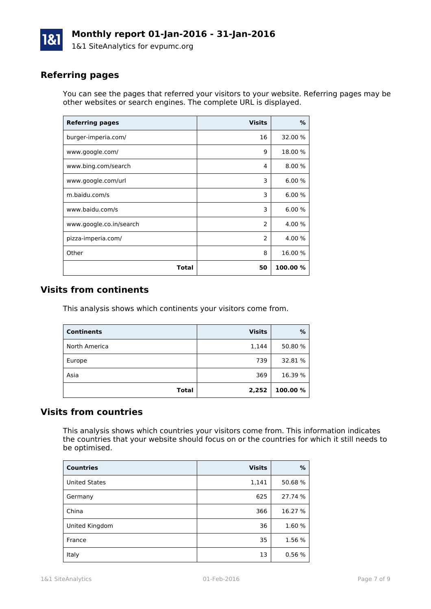

# **Referring pages**

You can see the pages that referred your visitors to your website. Referring pages may be other websites or search engines. The complete URL is displayed.

| <b>Referring pages</b>  | <b>Visits</b>  | %        |
|-------------------------|----------------|----------|
| burger-imperia.com/     | 16             | 32.00 %  |
| www.google.com/         | 9              | 18.00 %  |
| www.bing.com/search     | 4              | 8.00 %   |
| www.google.com/url      | 3              | 6.00%    |
| m.baidu.com/s           | 3              | 6.00%    |
| www.baidu.com/s         | 3              | 6.00%    |
| www.google.co.in/search | 2              | 4.00 %   |
| pizza-imperia.com/      | $\overline{2}$ | 4.00 %   |
| Other                   | 8              | 16.00 %  |
| Total                   | 50             | 100.00 % |

#### **Visits from continents**

This analysis shows which continents your visitors come from.

| <b>Continents</b> | <b>Visits</b> | %        |
|-------------------|---------------|----------|
| North America     | 1,144         | 50.80 %  |
| Europe            | 739           | 32.81 %  |
| Asia              | 369           | 16.39 %  |
| <b>Total</b>      | 2,252         | 100.00 % |

### **Visits from countries**

This analysis shows which countries your visitors come from. This information indicates the countries that your website should focus on or the countries for which it still needs to be optimised.

| <b>Countries</b>     | <b>Visits</b> | %       |
|----------------------|---------------|---------|
| <b>United States</b> | 1,141         | 50.68%  |
| Germany              | 625           | 27.74 % |
| China                | 366           | 16.27 % |
| United Kingdom       | 36            | 1.60%   |
| France               | 35            | 1.56 %  |
| Italy                | 13            | 0.56%   |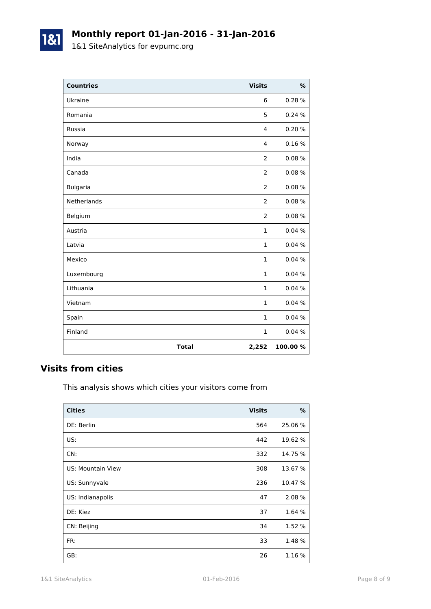# **Monthly report 01-Jan-2016 - 31-Jan-2016**

1&1 SiteAnalytics for evpumc.org

1&1

| <b>Countries</b> | <b>Visits</b>  | %        |
|------------------|----------------|----------|
| Ukraine          | 6              | 0.28%    |
| Romania          | 5              | 0.24%    |
| Russia           | 4              | 0.20%    |
| Norway           | 4              | 0.16%    |
| India            | 2              | 0.08%    |
| Canada           | $\overline{2}$ | 0.08%    |
| <b>Bulgaria</b>  | $\overline{2}$ | 0.08%    |
| Netherlands      | 2              | 0.08%    |
| Belgium          | $\overline{2}$ | 0.08%    |
| Austria          | 1              | 0.04%    |
| Latvia           | $\mathbf{1}$   | 0.04%    |
| Mexico           | $\mathbf{1}$   | 0.04%    |
| Luxembourg       | $\mathbf{1}$   | 0.04%    |
| Lithuania        | 1              | 0.04%    |
| Vietnam          | 1              | 0.04%    |
| Spain            | $\mathbf{1}$   | 0.04%    |
| Finland          | 1              | 0.04%    |
| <b>Total</b>     | 2,252          | 100.00 % |

## **Visits from cities**

This analysis shows which cities your visitors come from

| <b>Cities</b>            | <b>Visits</b> | %       |
|--------------------------|---------------|---------|
| DE: Berlin               | 564           | 25.06 % |
| US:                      | 442           | 19.62 % |
| CN:                      | 332           | 14.75 % |
| <b>US: Mountain View</b> | 308           | 13.67 % |
| US: Sunnyvale            | 236           | 10.47 % |
| US: Indianapolis         | 47            | 2.08 %  |
| DE: Kiez                 | 37            | 1.64 %  |
| CN: Beijing              | 34            | 1.52 %  |
| FR:                      | 33            | 1.48 %  |
| GB:                      | 26            | 1.16 %  |